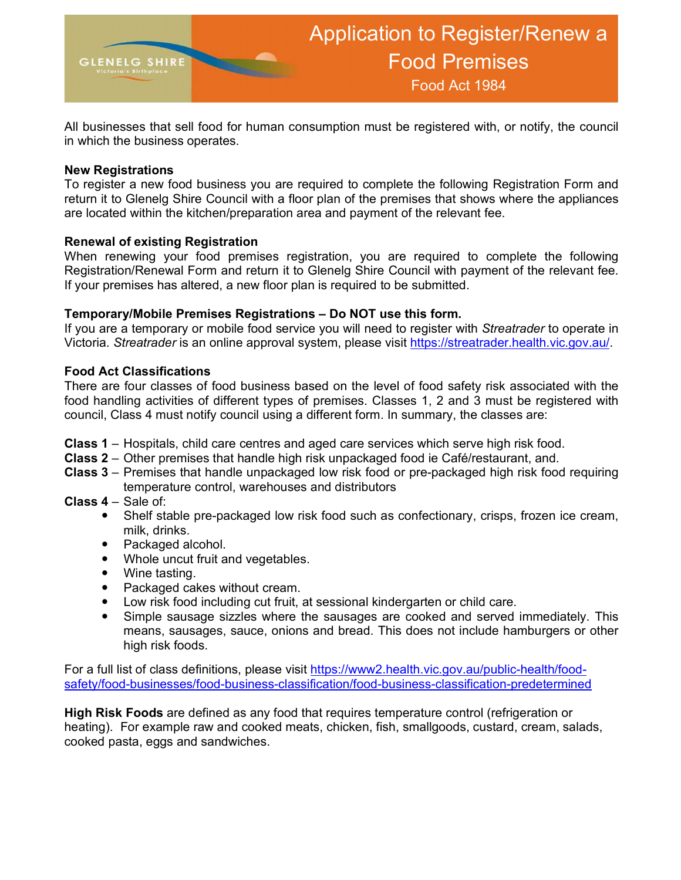

All businesses that sell food for human consumption must be registered with, or notify, the council in which the business operates.

### New Registrations

To register a new food business you are required to complete the following Registration Form and return it to Glenelg Shire Council with a floor plan of the premises that shows where the appliances are located within the kitchen/preparation area and payment of the relevant fee.

### Renewal of existing Registration

When renewing your food premises registration, you are required to complete the following Registration/Renewal Form and return it to Glenelg Shire Council with payment of the relevant fee. If your premises has altered, a new floor plan is required to be submitted.

### Temporary/Mobile Premises Registrations – Do NOT use this form.

If you are a temporary or mobile food service you will need to register with Streatrader to operate in Victoria. Streatrader is an online approval system, please visit https://streatrader.health.vic.gov.au/.

### Food Act Classifications

There are four classes of food business based on the level of food safety risk associated with the food handling activities of different types of premises. Classes 1, 2 and 3 must be registered with council, Class 4 must notify council using a different form. In summary, the classes are:

- Class 1 Hospitals, child care centres and aged care services which serve high risk food.
- Class 2 Other premises that handle high risk unpackaged food ie Café/restaurant, and.
- Class 3 Premises that handle unpackaged low risk food or pre-packaged high risk food requiring temperature control, warehouses and distributors
- Class 4 Sale of:
	- Shelf stable pre-packaged low risk food such as confectionary, crisps, frozen ice cream, milk, drinks.
	- Packaged alcohol.
	- Whole uncut fruit and vegetables.
	- Wine tasting.
	- Packaged cakes without cream.
	- Low risk food including cut fruit, at sessional kindergarten or child care.
	- Simple sausage sizzles where the sausages are cooked and served immediately. This means, sausages, sauce, onions and bread. This does not include hamburgers or other high risk foods.

For a full list of class definitions, please visit https://www2.health.vic.gov.au/public-health/foodsafety/food-businesses/food-business-classification/food-business-classification-predetermined

High Risk Foods are defined as any food that requires temperature control (refrigeration or heating). For example raw and cooked meats, chicken, fish, smallgoods, custard, cream, salads, cooked pasta, eggs and sandwiches.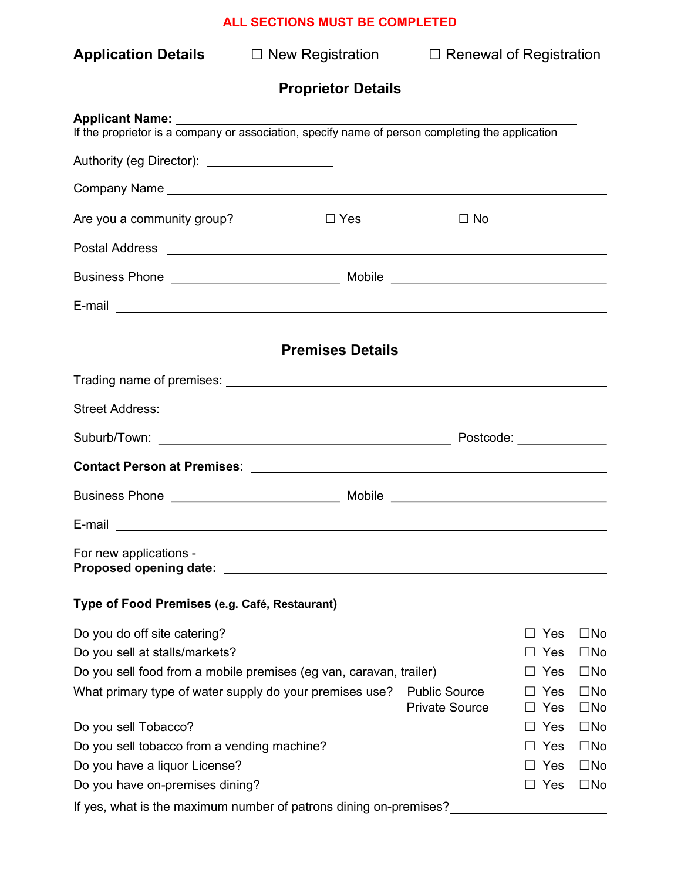| <b>Application Details</b>                                                                                                                                                                                                     | $\square$ New Registration |                                               | $\Box$ Renewal of Registration |                              |  |
|--------------------------------------------------------------------------------------------------------------------------------------------------------------------------------------------------------------------------------|----------------------------|-----------------------------------------------|--------------------------------|------------------------------|--|
|                                                                                                                                                                                                                                | <b>Proprietor Details</b>  |                                               |                                |                              |  |
| <b>Applicant Name:</b><br>If the proprietor is a company or association, specify name of person completing the application                                                                                                     |                            |                                               |                                |                              |  |
| Authority (eg Director): _____________________                                                                                                                                                                                 |                            |                                               |                                |                              |  |
|                                                                                                                                                                                                                                |                            |                                               |                                |                              |  |
| Are you a community group?                                                                                                                                                                                                     | $\Box$ Yes                 | $\Box$ No                                     |                                |                              |  |
|                                                                                                                                                                                                                                |                            |                                               |                                |                              |  |
|                                                                                                                                                                                                                                |                            |                                               |                                |                              |  |
| E-mail experience of the contract of the contract of the contract of the contract of the contract of the contract of the contract of the contract of the contract of the contract of the contract of the contract of the contr |                            |                                               |                                |                              |  |
|                                                                                                                                                                                                                                |                            |                                               |                                |                              |  |
|                                                                                                                                                                                                                                | <b>Premises Details</b>    |                                               |                                |                              |  |
|                                                                                                                                                                                                                                |                            |                                               |                                |                              |  |
|                                                                                                                                                                                                                                |                            |                                               |                                |                              |  |
|                                                                                                                                                                                                                                |                            |                                               |                                |                              |  |
|                                                                                                                                                                                                                                |                            |                                               |                                |                              |  |
|                                                                                                                                                                                                                                |                            |                                               |                                |                              |  |
| E-mail                                                                                                                                                                                                                         |                            |                                               |                                |                              |  |
| For new applications -<br>Proposed opening date:                                                                                                                                                                               |                            |                                               |                                |                              |  |
| Type of Food Premises (e.g. Café, Restaurant) __________________________________                                                                                                                                               |                            |                                               |                                |                              |  |
| Do you do off site catering?                                                                                                                                                                                                   |                            |                                               | Yes                            | $\square$ No                 |  |
| Do you sell at stalls/markets?                                                                                                                                                                                                 |                            |                                               | Yes                            | $\square$ No                 |  |
| Do you sell food from a mobile premises (eg van, caravan, trailer)                                                                                                                                                             |                            |                                               | Yes                            | $\square$ No                 |  |
| What primary type of water supply do your premises use?                                                                                                                                                                        |                            | <b>Public Source</b><br><b>Private Source</b> | Yes<br>Yes                     | $\square$ No<br>$\square$ No |  |
| Do you sell Tobacco?                                                                                                                                                                                                           |                            |                                               | Yes                            | $\square$ No                 |  |
| Do you sell tobacco from a vending machine?                                                                                                                                                                                    |                            |                                               | Yes                            | $\square$ No                 |  |
| Do you have a liquor License?                                                                                                                                                                                                  |                            |                                               | Yes                            | $\square$ No                 |  |
| Do you have on-premises dining?                                                                                                                                                                                                |                            |                                               | Yes                            | $\square$ No                 |  |
| If yes, what is the maximum number of patrons dining on-premises?                                                                                                                                                              |                            |                                               |                                |                              |  |

# ALL SECTIONS MUST BE COMPLETED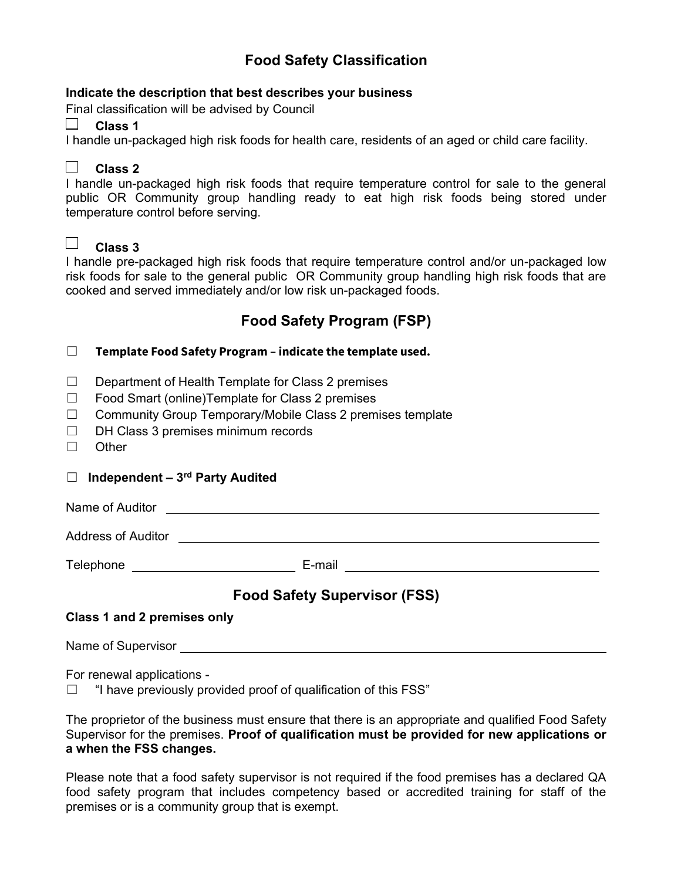# Food Safety Classification

#### Food Act 1984 Indicate the description that best describes your business

Final classification will be advised by Council

## $\Box$  Class 1

I handle un-packaged high risk foods for health care, residents of an aged or child care facility.

# $\Box$  Class 2

I handle un-packaged high risk foods that require temperature control for sale to the general public OR Community group handling ready to eat high risk foods being stored under temperature control before serving.

# $\Box$  Class 3

I handle pre-packaged high risk foods that require temperature control and/or un-packaged low risk foods for sale to the general public OR Community group handling high risk foods that are cooked and served immediately and/or low risk un-packaged foods.

# Food Safety Program (FSP)

### $\Box$  Template Food Safety Program – indicate the template used.

- ☐ Department of Health Template for Class 2 premises
- ☐ Food Smart (online)Template for Class 2 premises
- ☐ Community Group Temporary/Mobile Class 2 premises template
- ☐ DH Class 3 premises minimum records
- ☐ Other

### $\Box$  Independent – 3<sup>rd</sup> Party Audited

Name of Auditor

Address of Auditor

Telephone E-mail

# Food Safety Supervisor (FSS)

## Class 1 and 2 premises only

Name of Supervisor

For renewal applications -

**If have previously provided proof of qualification of this FSS**"

The proprietor of the business must ensure that there is an appropriate and qualified Food Safety Supervisor for the premises. Proof of qualification must be provided for new applications or a when the FSS changes.

Please note that a food safety supervisor is not required if the food premises has a declared QA food safety program that includes competency based or accredited training for staff of the premises or is a community group that is exempt.